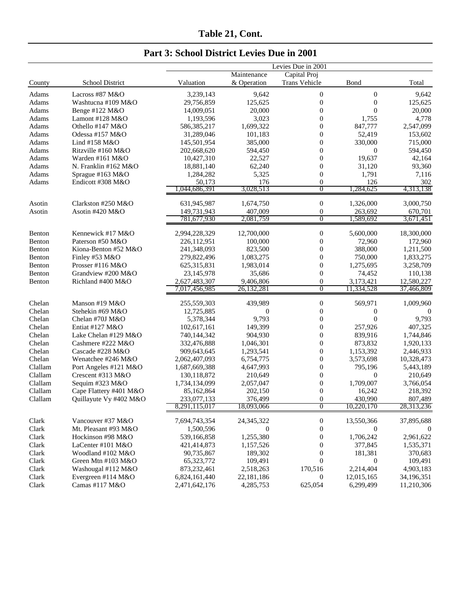|                  |                        |                               |                     | Levies Due in 2001 |                      |                      |
|------------------|------------------------|-------------------------------|---------------------|--------------------|----------------------|----------------------|
|                  |                        |                               | Maintenance         | Capital Proj       |                      |                      |
| County           | School District        | Valuation                     | & Operation         | Trans Vehicle      | Bond                 | Total                |
| Adams            | Lacross #87 M&O        | 3,239,143                     | 9,642               | $\boldsymbol{0}$   | $\boldsymbol{0}$     | 9,642                |
| Adams            | Washtucna #109 M&O     | 29,756,859                    | 125,625             | $\boldsymbol{0}$   | $\boldsymbol{0}$     | 125,625              |
| Adams            | Benge #122 M&O         | 14,009,051                    | 20,000              | $\boldsymbol{0}$   | $\boldsymbol{0}$     | 20,000               |
| Adams            | Lamont #128 M&O        | 1,193,596                     | 3,023               | $\mathbf{0}$       | 1,755                | 4,778                |
| Adams            | Othello #147 M&O       | 586, 385, 217                 | 1,699,322           | $\boldsymbol{0}$   | 847,777              | 2,547,099            |
| Adams            | Odessa #157 M&O        | 31,289,046                    | 101,183             | $\boldsymbol{0}$   | 52,419               | 153,602              |
| Adams            | Lind #158 M&O          | 145,501,954                   | 385,000             | $\boldsymbol{0}$   | 330,000              | 715,000              |
| Adams            | Ritzville #160 M&O     | 202,668,620                   | 594,450             | $\mathbf{0}$       | $\mathbf{0}$         | 594,450              |
| Adams            | Warden #161 M&O        | 10,427,310                    | 22,527              | $\mathbf{0}$       | 19,637               | 42,164               |
| Adams            | N. Franklin #162 M&O   | 18,881,140                    | 62,240              | $\mathbf{0}$       | 31,120               | 93,360               |
| Adams            | Sprague #163 M&O       | 1,284,282                     | 5,325               | $\boldsymbol{0}$   | 1,791                | 7,116                |
| Adams            | Endicott #308 M&O      | 50,173                        | 176                 | $\boldsymbol{0}$   | 126                  | 302                  |
|                  |                        | 1,044,686,391                 | 3,028,513           | $\overline{0}$     | 1,284,625            | 4,313,138            |
| Asotin           | Clarkston #250 M&O     | 631,945,987                   | 1,674,750           | $\boldsymbol{0}$   | 1,326,000            | 3,000,750            |
| Asotin           | Asotin #420 M&O        | 149,731,943                   | 407,009             | $\boldsymbol{0}$   | 263,692              | 670,701              |
|                  |                        | 781,677,930                   | 2,081,759           | $\overline{0}$     | 1,589,692            | 3,671,451            |
| Benton           | Kennewick #17 M&O      | 2,994,228,329                 | 12,700,000          | $\boldsymbol{0}$   | 5,600,000            | 18,300,000           |
| Benton           | Paterson #50 M&O       |                               | 100,000             | $\boldsymbol{0}$   |                      |                      |
| Benton           | Kiona-Benton #52 M&O   | 226,112,951                   |                     | $\boldsymbol{0}$   | 72,960               | 172,960              |
| Benton           | Finley #53 M&O         | 241,348,093                   | 823,500             | $\boldsymbol{0}$   | 388,000              | 1,211,500            |
|                  | Prosser #116 M&O       | 279,822,496                   | 1,083,275           | $\mathbf{0}$       | 750,000<br>1,275,695 | 1,833,275            |
| Benton<br>Benton | Grandview #200 M&O     | 625,315,831                   | 1,983,014<br>35,686 | $\mathbf{0}$       |                      | 3,258,709<br>110,138 |
| Benton           | Richland #400 M&O      | 23, 145, 978<br>2,627,483,307 | 9,406,806           | $\boldsymbol{0}$   | 74,452<br>3,173,421  | 12,580,227           |
|                  |                        | 7,017,456,985                 | 26,132,281          | $\overline{0}$     | 11,334,528           | 37,466,809           |
|                  |                        |                               |                     |                    |                      |                      |
| Chelan           | Manson #19 M&O         | 255,559,303                   | 439,989             | $\boldsymbol{0}$   | 569,971              | 1,009,960            |
| Chelan           | Stehekin #69 M&O       | 12,725,885                    | $\theta$            | $\boldsymbol{0}$   | $\boldsymbol{0}$     | $\Omega$             |
| Chelan           | Chelan #70J M&O        | 5,378,344                     | 9,793               | $\boldsymbol{0}$   | $\overline{0}$       | 9,793                |
| Chelan           | Entiat #127 $M&O$      | 102,617,161                   | 149,399             | $\boldsymbol{0}$   | 257,926              | 407,325              |
| Chelan           | Lake Chelan #129 M&O   | 740,144,342                   | 904,930             | $\boldsymbol{0}$   | 839,916              | 1,744,846            |
| Chelan           | Cashmere #222 M&O      | 332,476,888                   | 1,046,301           | $\mathbf{0}$       | 873,832              | 1,920,133            |
| Chelan           | Cascade #228 M&O       | 909,643,645                   | 1,293,541           | $\boldsymbol{0}$   | 1,153,392            | 2,446,933            |
| Chelan           | Wenatchee #246 M&O     | 2,062,407,093                 | 6,754,775           | $\boldsymbol{0}$   | 3,573,698            | 10,328,473           |
| Clallam          | Port Angeles #121 M&O  | 1,687,669,388                 | 4,647,993           | $\boldsymbol{0}$   | 795,196              | 5,443,189            |
| Clallam          | Crescent #313 M&O      | 130, 118, 872                 | 210,649             | $\mathbf{0}$       | $\theta$             | 210,649              |
| Clallam          | Sequim #323 M&O        | 1,734,134,099                 | 2,057,047           | $\boldsymbol{0}$   | 1,709,007            | 3,766,054            |
| Clallam          | Cape Flattery #401 M&O | 85,162,864                    | 202,150             | $\boldsymbol{0}$   | 16,242               | 218,392              |
| Clallam          | Quillayute Vy #402 M&O | 233,077,133                   | 376,499             | $\mathbf{0}$       | 430,990              | 807,489              |
|                  |                        | 8,291,115,017                 | 18,093,066          | $\overline{0}$     | 10,220,170           | 28,313,236           |
| Clark            | Vancouver #37 M&O      | 7,694,743,354                 | 24, 345, 322        | $\boldsymbol{0}$   | 13,550,366           | 37,895,688           |
| Clark            | Mt. Pleasant #93 M&O   | 1,500,596                     | 0                   | $\boldsymbol{0}$   | 0                    | $\boldsymbol{0}$     |
| Clark            | Hockinson #98 M&O      | 539,166,858                   | 1,255,380           | $\boldsymbol{0}$   | 1,706,242            | 2,961,622            |
| Clark            | LaCenter #101 M&O      | 421,414,873                   | 1,157,526           | $\boldsymbol{0}$   | 377,845              | 1,535,371            |
| Clark            | Woodland #102 M&O      | 90,735,867                    | 189,302             | $\boldsymbol{0}$   | 181,381              | 370,683              |
| Clark            | Green Mtn #103 M&O     | 65,323,772                    | 109,491             | $\boldsymbol{0}$   | $\mathbf{0}$         | 109,491              |
| Clark            | Washougal #112 M&O     | 873,232,461                   | 2,518,263           | 170,516            | 2,214,404            | 4,903,183            |
| Clark            | Evergreen #114 M&O     | 6,824,161,440                 | 22,181,186          | $\mathbf{0}$       | 12,015,165           | 34,196,351           |
| Clark            | Camas #117 M&O         | 2,471,642,176                 | 4,285,753           | 625,054            | 6,299,499            | 11,210,306           |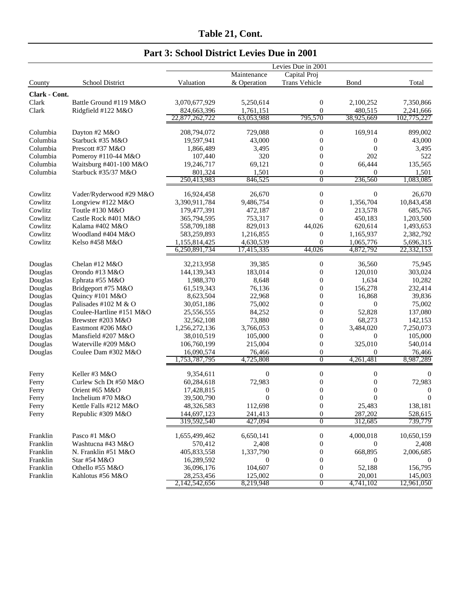|  |  |  |  | Part 3: School District Levies Due in 2001 |  |  |  |  |
|--|--|--|--|--------------------------------------------|--|--|--|--|
|--|--|--|--|--------------------------------------------|--|--|--|--|

|               |                          | Levies Due in 2001             |                         |                      |                        |                        |  |
|---------------|--------------------------|--------------------------------|-------------------------|----------------------|------------------------|------------------------|--|
|               |                          |                                | Maintenance             | Capital Proj         |                        |                        |  |
| County        | School District          | Valuation                      | & Operation             | <b>Trans Vehicle</b> | Bond                   | Total                  |  |
| Clark - Cont. |                          |                                |                         |                      |                        |                        |  |
| Clark         | Battle Ground #119 M&O   | 3,070,677,929                  | 5,250,614               | 0                    | 2,100,252              | 7,350,866              |  |
| Clark         | Ridgfield #122 M&O       | 824,663,396                    | 1,761,151               | $\overline{0}$       | 480,515                | 2,241,666              |  |
|               |                          | 22,877,262,722                 | 63,053,988              | 795,570              | 38,925,669             | 102,775,227            |  |
| Columbia      | Dayton #2 M&O            | 208,794,072                    | 729,088                 | 0                    | 169,914                | 899,002                |  |
| Columbia      | Starbuck #35 M&O         | 19,597,941                     | 43,000                  | $\overline{0}$       | $\overline{0}$         | 43,000                 |  |
| Columbia      | Prescott #37 M&O         | 1,866,489                      | 3,495                   | $\boldsymbol{0}$     | $\overline{0}$         | 3,495                  |  |
| Columbia      | Pomeroy #110-44 M&O      | 107,440                        | 320                     | $\boldsymbol{0}$     | 202                    | 522                    |  |
| Columbia      | Waitsburg #401-100 M&O   | 19,246,717                     | 69,121                  | $\boldsymbol{0}$     | 66,444                 | 135,565                |  |
| Columbia      | Starbuck #35/37 M&O      | 801,324                        | 1,501                   | $\boldsymbol{0}$     | $\theta$               | 1,501                  |  |
|               |                          | 250,413,983                    | 846,525                 | $\overline{0}$       | 236,560                | 1,083,085              |  |
| Cowlitz       | Vader/Ryderwood #29 M&O  | 16,924,458                     | 26,670                  | 0                    | $\overline{0}$         | 26,670                 |  |
| Cowlitz       | Longview #122 M&O        | 3,390,911,784                  | 9,486,754               | $\boldsymbol{0}$     | 1,356,704              | 10,843,458             |  |
| Cowlitz       | Toutle #130 M&O          | 179,477,391                    | 472,187                 | $\boldsymbol{0}$     | 213,578                | 685,765                |  |
| Cowlitz       | Castle Rock #401 M&O     | 365,794,595                    | 753,317                 | $\overline{0}$       | 450,183                | 1,203,500              |  |
| Cowlitz       | Kalama #402 M&O          | 558,709,188                    | 829,013                 | 44,026               | 620,614                |                        |  |
| Cowlitz       | Woodland #404 M&O        |                                |                         |                      | 1,165,937              | 1,493,653              |  |
| Cowlitz       |                          | 583,259,893                    | 1,216,855               | 0<br>$\overline{0}$  |                        | 2,382,792<br>5,696,315 |  |
|               | Kelso #458 M&O           | 1,155,814,425<br>6,250,891,734 | 4,630,539<br>17,415,335 | 44,026               | 1,065,776<br>4,872,792 | 22,332,153             |  |
|               |                          |                                |                         |                      |                        |                        |  |
| Douglas       | Chelan #12 M&O           | 32,213,958                     | 39,385                  | 0                    | 36,560                 | 75,945                 |  |
| Douglas       | Orondo #13 M&O           | 144,139,343                    | 183,014                 | $\boldsymbol{0}$     | 120,010                | 303,024                |  |
| Douglas       | Ephrata #55 M&O          | 1,988,370                      | 8,648                   | $\boldsymbol{0}$     | 1,634                  | 10,282                 |  |
| Douglas       | Bridgeport #75 M&O       | 61,519,343                     | 76,136                  | $\boldsymbol{0}$     | 156,278                | 232,414                |  |
| Douglas       | Quincy #101 M&O          | 8,623,504                      | 22,968                  | $\boldsymbol{0}$     | 16,868                 | 39,836                 |  |
| Douglas       | Palisades #102 M & O     | 30,051,186                     | 75,002                  | $\boldsymbol{0}$     | $\boldsymbol{0}$       | 75,002                 |  |
| Douglas       | Coulee-Hartline #151 M&O | 25,556,555                     | 84,252                  | $\boldsymbol{0}$     | 52,828                 | 137,080                |  |
| Douglas       | Brewster #203 M&O        | 32,562,108                     | 73,880                  | $\boldsymbol{0}$     | 68,273                 | 142,153                |  |
| Douglas       | Eastmont #206 M&O        | 1,256,272,136                  | 3,766,053               | $\boldsymbol{0}$     | 3,484,020              | 7,250,073              |  |
| Douglas       | Mansfield #207 M&O       | 38,010,519                     | 105,000                 | $\boldsymbol{0}$     | $\theta$               | 105,000                |  |
| Douglas       | Waterville #209 M&O      | 106,760,199                    | 215,004                 | $\boldsymbol{0}$     | 325,010                | 540,014                |  |
| Douglas       | Coulee Dam #302 M&O      | 16,090,574                     | 76,466                  | 0                    | $\overline{0}$         | 76,466                 |  |
|               |                          | 1,753,787,795                  | 4,725,808               | $\overline{0}$       | 4,261,481              | 8,987,289              |  |
| Ferry         | Keller #3 M&O            | 9,354,611                      | 0                       | $\boldsymbol{0}$     | $\boldsymbol{0}$       | 0                      |  |
| Ferry         | Curlew Sch Dt #50 M&O    | 60,284,618                     | 72,983                  | 0                    | $\boldsymbol{0}$       | 72,983                 |  |
| Ferry         | Orient #65 M&O           | 17,428,815                     | 0                       | 0                    | $\mathbf{0}$           | $\theta$               |  |
| Ferry         | Inchelium #70 M&O        | 39,500,790                     | $\boldsymbol{0}$        | $\boldsymbol{0}$     | $\mathbf{0}$           | $\boldsymbol{0}$       |  |
| Ferry         | Kettle Falls #212 M&O    | 48,326,583                     | 112,698                 | 0                    | 25,483                 | 138,181                |  |
| Ferry         | Republic #309 M&O        | 144,697,123                    | 241,413                 | $\boldsymbol{0}$     | 287,202                | 528,615                |  |
|               |                          | 319,592,540                    | 427,094                 | 0                    | 312,685                | 739,779                |  |
| Franklin      | Pasco #1 M&O             | 1,655,499,462                  | 6,650,141               | $\boldsymbol{0}$     | 4,000,018              | 10,650,159             |  |
| Franklin      | Washtucna #43 M&O        | 570,412                        | 2,408                   | $\boldsymbol{0}$     | $\mathbf{0}$           | 2,408                  |  |
| Franklin      | N. Franklin #51 M&O      | 405,833,558                    | 1,337,790               | $\boldsymbol{0}$     | 668,895                | 2,006,685              |  |
| Franklin      | Star #54 M&O             | 16,289,592                     | 0                       | $\boldsymbol{0}$     | $\boldsymbol{0}$       | $\theta$               |  |
| Franklin      | Othello #55 M&O          | 36,096,176                     | 104,607                 | $\boldsymbol{0}$     | 52,188                 | 156,795                |  |
| Franklin      | Kahlotus #56 M&O         | 28,253,456                     | 125,002                 | 0                    | 20,001                 | 145,003                |  |
|               |                          | 2, 142, 542, 656               | 8,219,948               | $\overline{0}$       | 4,741,102              | 12,961,050             |  |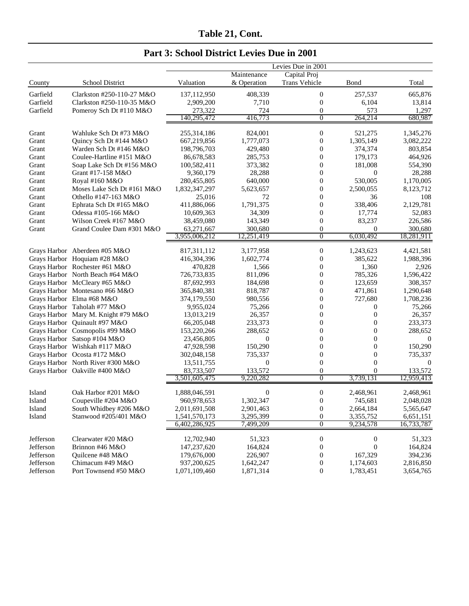| Part 3: School District Levies Due in 2001 |  |  |  |  |  |  |  |
|--------------------------------------------|--|--|--|--|--|--|--|
|--------------------------------------------|--|--|--|--|--|--|--|

|           |                                     |               |                  | Levies Due in 2001 |                  |            |
|-----------|-------------------------------------|---------------|------------------|--------------------|------------------|------------|
|           |                                     |               | Maintenance      | Capital Proj       |                  |            |
| County    | School District                     | Valuation     | & Operation      | Trans Vehicle      | Bond             | Total      |
| Garfield  | Clarkston #250-110-27 M&O           | 137,112,950   | 408,339          | 0                  | 257,537          | 665,876    |
| Garfield  | Clarkston #250-110-35 M&O           | 2,909,200     | 7,710            | 0                  | 6,104            | 13,814     |
| Garfield  | Pomeroy Sch Dt #110 M&O             | 273,322       | 724              | 0                  | 573              | 1,297      |
|           |                                     | 140,295,472   | 416,773          | $\overline{0}$     | 264,214          | 680,987    |
| Grant     | Wahluke Sch Dt #73 M&O              | 255,314,186   | 824,001          | 0                  | 521,275          | 1,345,276  |
| Grant     | Quincy Sch Dt #144 M&O              | 667,219,856   | 1,777,073        | $\boldsymbol{0}$   | 1,305,149        | 3,082,222  |
| Grant     | Warden Sch Dt #146 M&O              | 198,796,703   | 429,480          | $\boldsymbol{0}$   | 374,374          | 803,854    |
| Grant     | Coulee-Hartline #151 M&O            | 86,678,583    | 285,753          | $\boldsymbol{0}$   | 179,173          | 464,926    |
| Grant     | Soap Lake Sch Dt #156 M&O           | 100,582,411   | 373,382          | $\boldsymbol{0}$   | 181,008          | 554,390    |
| Grant     | Grant #17-158 M&O                   | 9,360,179     | 28,288           | $\boldsymbol{0}$   | $\boldsymbol{0}$ | 28,288     |
| Grant     | Royal #160 M&O                      | 280,455,805   | 640,000          | $\boldsymbol{0}$   | 530,005          | 1,170,005  |
| Grant     | Moses Lake Sch Dt #161 M&O          | 1,832,347,297 | 5,623,657        | $\boldsymbol{0}$   | 2,500,055        | 8,123,712  |
| Grant     | Othello #147-163 M&O                | 25,016        | 72               | $\overline{0}$     | 36               | 108        |
| Grant     | Ephrata Sch Dt #165 M&O             | 411,886,066   | 1,791,375        | $\boldsymbol{0}$   | 338,406          | 2,129,781  |
| Grant     | Odessa #105-166 M&O                 | 10,609,363    | 34,309           | $\boldsymbol{0}$   | 17,774           | 52,083     |
| Grant     | Wilson Creek #167 M&O               | 38,459,080    | 143,349          | $\boldsymbol{0}$   | 83,237           | 226,586    |
| Grant     | Grand Coulee Dam #301 M&O           | 63,271,667    | 300,680          | $\boldsymbol{0}$   | $\theta$         | 300,680    |
|           |                                     | 3,955,006,212 | 12,251,419       | 0                  | 6,030,492        | 18,281,911 |
|           | Grays Harbor Aberdeen #05 M&O       | 817,311,112   | 3,177,958        | 0                  | 1,243,623        | 4,421,581  |
|           | Grays Harbor Hoquiam #28 M&O        | 416, 304, 396 | 1,602,774        | $\boldsymbol{0}$   | 385,622          | 1,988,396  |
|           | Grays Harbor Rochester #61 M&O      | 470,828       | 1,566            | $\boldsymbol{0}$   | 1,360            | 2,926      |
|           | Grays Harbor North Beach #64 M&O    | 726,733,835   | 811,096          | $\boldsymbol{0}$   | 785,326          | 1,596,422  |
|           | Grays Harbor McCleary #65 M&O       | 87,692,993    | 184,698          | $\boldsymbol{0}$   | 123,659          | 308,357    |
|           | Grays Harbor Montesano #66 M&O      | 365,840,381   | 818,787          | $\boldsymbol{0}$   | 471,861          | 1,290,648  |
|           | Grays Harbor Elma #68 M&O           | 374,179,550   | 980,556          | $\boldsymbol{0}$   | 727,680          | 1,708,236  |
|           | Grays Harbor Taholah #77 M&O        | 9,955,024     | 75,266           | $\boldsymbol{0}$   | $\overline{0}$   | 75,266     |
|           | Grays Harbor Mary M. Knight #79 M&O | 13,013,219    | 26,357           | $\boldsymbol{0}$   | $\boldsymbol{0}$ | 26,357     |
|           | Grays Harbor Quinault #97 M&O       | 66,205,048    | 233,373          | $\boldsymbol{0}$   | $\boldsymbol{0}$ | 233,373    |
|           | Grays Harbor Cosmopolis #99 M&O     | 153,220,266   | 288,652          | $\boldsymbol{0}$   | $\boldsymbol{0}$ | 288,652    |
|           | Grays Harbor Satsop #104 M&O        | 23,456,805    | $\mathbf{0}$     | $\boldsymbol{0}$   | $\boldsymbol{0}$ | $\theta$   |
|           | Grays Harbor Wishkah #117 M&O       | 47,928,598    | 150,290          | $\boldsymbol{0}$   | $\boldsymbol{0}$ | 150,290    |
|           | Grays Harbor Ocosta #172 M&O        | 302,048,158   | 735,337          | $\boldsymbol{0}$   | $\boldsymbol{0}$ | 735,337    |
|           | Grays Harbor North River #300 M&O   | 13,511,755    | $\boldsymbol{0}$ | $\boldsymbol{0}$   | $\overline{0}$   | $\theta$   |
|           | Grays Harbor Oakville #400 M&O      | 83,733,507    | 133,572          | $\boldsymbol{0}$   | $\overline{0}$   | 133,572    |
|           |                                     | 3,501,605,475 | 9,220,282        | 0                  | 3,739,131        | 12,959,413 |
| Island    | Oak Harbor #201 M&O                 | 1,888,046,591 | $\boldsymbol{0}$ | 0                  | 2,468,961        | 2,468,961  |
| Island    | Coupeville #204 M&O                 | 960,978,653   | 1,302,347        | $\overline{0}$     | 745,681          | 2,048,028  |
| Island    | South Whidbey #206 M&O              | 2,011,691,508 | 2,901,463        | $\boldsymbol{0}$   | 2,664,184        | 5,565,647  |
| Island    | Stanwood #205/401 M&O               | 1,541,570,173 | 3,295,399        | $\boldsymbol{0}$   | 3,355,752        | 6,651,151  |
|           |                                     | 6,402,286,925 | 7,499,209        | $\overline{0}$     | 9,234,578        | 16,733,787 |
| Jefferson | Clearwater #20 M&O                  | 12,702,940    | 51,323           | $\boldsymbol{0}$   | $\boldsymbol{0}$ | 51,323     |
| Jefferson | Brinnon #46 M&O                     | 147,237,620   | 164,824          | $\boldsymbol{0}$   | $\boldsymbol{0}$ | 164,824    |
| Jefferson | Quilcene #48 M&O                    | 179,676,000   | 226,907          | $\boldsymbol{0}$   | 167,329          | 394,236    |
| Jefferson | Chimacum #49 M&O                    | 937,200,625   | 1,642,247        | $\boldsymbol{0}$   | 1,174,603        | 2,816,850  |
| Jefferson | Port Townsend #50 M&O               | 1,071,109,460 | 1,871,314        | $\boldsymbol{0}$   | 1,783,451        | 3,654,765  |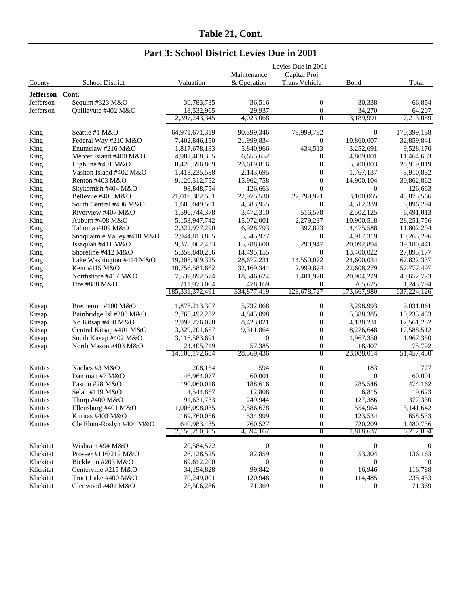|  |  |  | Part 3: School District Levies Due in 2001 |  |  |  |
|--|--|--|--------------------------------------------|--|--|--|
|--|--|--|--------------------------------------------|--|--|--|

|                   |                                             | Levies Due in 2001             |                         |                             |                        |                          |  |
|-------------------|---------------------------------------------|--------------------------------|-------------------------|-----------------------------|------------------------|--------------------------|--|
|                   |                                             |                                | Maintenance             | Capital Proj                |                        |                          |  |
| County            | School District                             | Valuation                      | & Operation             | <b>Trans Vehicle</b>        | <b>B</b> ond           | Total                    |  |
| Jefferson - Cont. |                                             |                                |                         |                             |                        |                          |  |
| Jefferson         | Sequim #323 M&O                             | 30,783,735                     | 36,516                  | $\boldsymbol{0}$            | 30,338                 | 66,854                   |  |
| Jefferson         | Quillayute #402 M&O                         | 18,532,965                     | 29,937                  | $\boldsymbol{0}$            | 34,270                 | 64,207                   |  |
|                   |                                             | 2,397,243,345                  | 4,023,068               | $\overline{0}$              | 3,189,991              | 7,213,059                |  |
|                   |                                             |                                |                         |                             |                        |                          |  |
| King              | Seattle #1 M&O                              | 64,971,671,319                 | 90,399,346              | 79,999,792                  | $\boldsymbol{0}$       | 170,399,138              |  |
| King              | Federal Way #210 M&O<br>Enumclaw #216 M&O   | 7,402,846,150                  | 21,999,834              | 0                           | 10,860,007             | 32,859,841               |  |
| King              |                                             | 1,817,678,183<br>4,982,408,355 | 5,840,966               | 434,513<br>$\boldsymbol{0}$ | 3,252,691              | 9,528,170                |  |
| King              | Mercer Island #400 M&O<br>Highline #401 M&O | 8,426,596,809                  | 6,655,652<br>23,619,816 | $\boldsymbol{0}$            | 4,809,001<br>5,300,003 | 11,464,653<br>28,919,819 |  |
| King<br>King      | Vashon Island #402 M&O                      | 1,413,235,588                  | 2,143,695               | $\mathbf{0}$                | 1,767,137              | 3,910,832                |  |
| King              | Renton #403 M&O                             | 9,120,512,752                  | 15,962,758              | $\boldsymbol{0}$            | 14,900,104             | 30,862,862               |  |
| King              | Skykomish #404 M&O                          | 98,848,754                     | 126,663                 | $\Omega$                    | $\overline{0}$         | 126,663                  |  |
| King              | Bellevue #405 M&O                           | 21,019,382,551                 | 22,975,530              | 22,799,971                  | 3,100,065              | 48,875,566               |  |
| King              | South Central #406 M&O                      | 1,605,049,501                  | 4,383,955               | 0                           | 4,512,339              | 8,896,294                |  |
| King              | Riverview #407 M&O                          | 1,596,744,378                  | 3,472,310               | 516,578                     | 2,502,125              | 6,491,013                |  |
| King              | Auburn #408 M&O                             | 5,153,947,742                  | 15,072,001              | 2,279,237                   | 10,900,518             | 28, 251, 756             |  |
| King              | Tahoma #409 M&O                             | 2,322,977,290                  | 6,928,793               | 397,823                     | 4,475,588              | 11,802,204               |  |
| King              | Snoqualmie Valley #410 M&O                  | 2,944,813,865                  | 5,345,977               | $\overline{0}$              | 4,917,319              | 10,263,296               |  |
| King              | Issaquah $#411$ M&O                         | 9,378,062,433                  | 15,788,600              | 3,298,947                   | 20,092,894             | 39,180,441               |  |
| King              | Shoreline #412 M&O                          | 5,359,840,256                  | 14,495,155              | $\theta$                    | 13,400,022             | 27,895,177               |  |
| King              | Lake Washington #414 M&O                    | 19,208,309,325                 | 28,672,231              | 14,550,072                  | 24,600,034             | 67,822,337               |  |
| King              | Kent #415 M&O                               | 10,756,581,662                 | 32,169,344              | 2,999,874                   | 22,608,279             | 57,777,497               |  |
| King              | Northshore #417 M&O                         | 7,539,892,574                  | 18,346,624              | 1,401,920                   | 20,904,229             | 40,652,773               |  |
| King              | Fife #888 M&O                               | 211,973,004                    | 478,169                 | $\theta$                    | 765,625                | 1,243,794                |  |
|                   |                                             | 185, 331, 372, 491             | 334,877,419             | 128,678,727                 | 173,667,980            | 637,224,126              |  |
|                   |                                             |                                |                         |                             |                        |                          |  |
| Kitsap            | Bremerton #100 M&O                          | 1,878,213,307                  | 5,732,068               | 0                           | 3,298,993              | 9,031,061                |  |
| Kitsap            | Bainbridge Isl #303 M&O                     | 2,765,492,232                  | 4,845,098               | $\boldsymbol{0}$            | 5,388,385              | 10,233,483               |  |
| Kitsap            | No Kitsap #400 M&O                          | 2,992,276,078                  | 8,423,021               | $\boldsymbol{0}$            | 4,138,231              | 12,561,252               |  |
| Kitsap            | Central Kitsap #401 M&O                     | 3,329,201,657                  | 9,311,864               | $\boldsymbol{0}$            | 8,276,648              | 17,588,512               |  |
| Kitsap            | South Kitsap #402 M&O                       | 3,116,583,691                  | $\mathbf{0}$            | $\boldsymbol{0}$            | 1,967,350              | 1,967,350                |  |
| Kitsap            | North Mason #403 M&O                        | 24,405,719                     | 57,385                  | $\boldsymbol{0}$            | 18,407                 | 75,792                   |  |
|                   |                                             | 14, 106, 172, 684              | 28,369,436              | $\overline{0}$              | 23,088,014             | 51,457,450               |  |
| Kittitas          | Naches #3 M&O                               | 208,154                        | 594                     | $\boldsymbol{0}$            | 183                    | 777                      |  |
| Kittitas          | Damman #7 M&O                               | 46,964,077                     | 60,001                  | $\boldsymbol{0}$            | $\theta$               | 60,001                   |  |
| Kittitas          | Easton #28 M&O                              | 190,060,018                    | 188,616                 | $\mathbf{0}$                | 285,546                | 474,162                  |  |
| Kittitas          | Selah #119 M&O                              | 4,544,857                      | 12,808                  | $\boldsymbol{0}$            | 6,815                  | 19,623                   |  |
| Kittitas          | Thorp #400 M&O                              | 91,631,733                     | 249,944                 | $\boldsymbol{0}$            | 127,386                | 377,330                  |  |
| Kittitas          | Ellensburg #401 M&O                         | 1,006,098,035                  | 2,586,678               | $\boldsymbol{0}$            | 554,964                | 3,141,642                |  |
| Kittitas          | Kittitas #403 M&O                           | 169,760,056                    | 534,999                 | $\boldsymbol{0}$            | 123,534                | 658,533                  |  |
| Kittitas          | Cle Elum-Roslyn #404 M&O                    | 640,983,435                    | 760,527                 | $\boldsymbol{0}$            | 720,209                | 1,480,736                |  |
|                   |                                             | 2,150,250,365                  | 4,394,167               | $\overline{0}$              | 1,818,637              | 6,212,804                |  |
| Klickitat         | Wishram #94 M&O                             | 20,584,572                     | $\boldsymbol{0}$        | $\boldsymbol{0}$            | $\boldsymbol{0}$       | $\boldsymbol{0}$         |  |
| Klickitat         | Prosser #116/219 M&O                        | 26,128,525                     | 82,859                  | $\boldsymbol{0}$            | 53,304                 | 136,163                  |  |
| Klickitat         | Bickleton #203 M&O                          | 69,612,200                     | 0                       | $\boldsymbol{0}$            | 0                      | $\theta$                 |  |
| Klickitat         | Centerville #215 M&O                        | 34, 194, 828                   | 99,842                  | $\boldsymbol{0}$            | 16,946                 | 116,788                  |  |
| Klickitat         | Trout Lake #400 M&O                         | 70,249,001                     | 120,948                 | $\boldsymbol{0}$            | 114,485                | 235,433                  |  |
| Klickitat         | Glenwood #401 M&O                           | 25,506,286                     | 71,369                  | $\boldsymbol{0}$            | $\boldsymbol{0}$       | 71,369                   |  |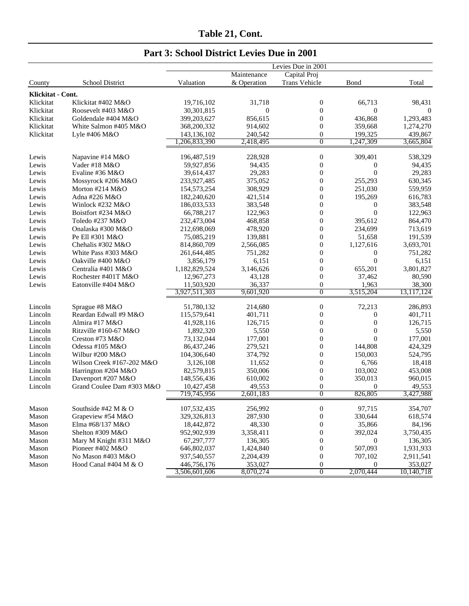|                   |                           | Levies Due in 2001           |                      |                     |                               |                       |  |
|-------------------|---------------------------|------------------------------|----------------------|---------------------|-------------------------------|-----------------------|--|
|                   |                           |                              | Maintenance          | Capital Proj        |                               |                       |  |
| County            | School District           | Valuation                    | & Operation          | Trans Vehicle       | Bond                          | Total                 |  |
| Klickitat - Cont. |                           |                              |                      |                     |                               |                       |  |
| Klickitat         | Klickitat #402 M&O        | 19,716,102                   | 31,718               | 0                   | 66,713                        | 98,431                |  |
| Klickitat         | Roosevelt #403 M&O        | 30,301,815                   | $\boldsymbol{0}$     | $\boldsymbol{0}$    | $\boldsymbol{0}$              | $\theta$              |  |
| Klickitat         | Goldendale #404 M&O       | 399,203,627                  | 856,615              | $\boldsymbol{0}$    | 436,868                       | 1,293,483             |  |
| Klickitat         | White Salmon #405 M&O     | 368,200,332                  | 914,602              | $\boldsymbol{0}$    | 359,668                       | 1,274,270             |  |
| Klickitat         | Lyle #406 M&O             | 143,136,102                  | 240,542              | $\boldsymbol{0}$    | 199,325                       | 439,867               |  |
|                   |                           | 1,206,833,390                | 2,418,495            | 0                   | 1,247,309                     | 3,665,804             |  |
| Lewis             | Napavine #14 M&O          | 196,487,519                  | 228,928              | $\boldsymbol{0}$    | 309,401                       | 538,329               |  |
| Lewis             | Vader #18 M&O             | 59,927,856                   | 94,435               | $\boldsymbol{0}$    | $\boldsymbol{0}$              | 94,435                |  |
| Lewis             | Evaline #36 M&O           | 39,614,437                   | 29,283               | $\boldsymbol{0}$    | $\overline{0}$                | 29,283                |  |
| Lewis             | Mossyrock #206 M&O        | 233,927,485                  | 375,052              | $\boldsymbol{0}$    | 255,293                       | 630,345               |  |
| Lewis             | Morton #214 M&O           | 154,573,254                  | 308,929              | $\boldsymbol{0}$    | 251,030                       | 559,959               |  |
| Lewis             | Adna #226 M&O             | 182,240,620                  | 421,514              | $\boldsymbol{0}$    | 195,269                       | 616,783               |  |
| Lewis             | Winlock #232 M&O          | 186,033,533                  | 383,548              | $\boldsymbol{0}$    | $\boldsymbol{0}$              | 383,548               |  |
| Lewis             | Boistfort #234 M&O        | 66,788,217                   | 122,963              | $\boldsymbol{0}$    | $\overline{0}$                | 122,963               |  |
| Lewis             | Toledo #237 M&O           | 232,473,004                  | 468,858              | $\boldsymbol{0}$    | 395,612                       | 864,470               |  |
| Lewis             | Onalaska #300 M&O         | 212,698,069                  | 478,920              | $\boldsymbol{0}$    | 234,699                       | 713,619               |  |
| Lewis             | Pe Ell #301 M&O           | 75,085,219                   | 139,881              | $\boldsymbol{0}$    | 51,658                        | 191,539               |  |
| Lewis             | Chehalis #302 M&O         | 814,860,709                  | 2,566,085            | $\boldsymbol{0}$    | 1,127,616                     | 3,693,701             |  |
| Lewis             | White Pass #303 M&O       | 261,644,485                  | 751,282              | $\boldsymbol{0}$    | $\boldsymbol{0}$              | 751,282               |  |
| Lewis             | Oakville #400 M&O         | 3,856,179                    | 6,151                | $\boldsymbol{0}$    | $\overline{0}$                | 6,151                 |  |
| Lewis             | Centralia #401 M&O        | 1,182,829,524                | 3,146,626            | $\boldsymbol{0}$    | 655,201                       | 3,801,827             |  |
| Lewis             | Rochester #401T M&O       | 12,967,273                   | 43,128               | $\boldsymbol{0}$    | 37,462                        | 80,590                |  |
| Lewis             | Eatonville #404 M&O       | 11,503,920                   | 36,337               | $\boldsymbol{0}$    | 1,963                         | 38,300                |  |
|                   |                           | 3,927,511,303                | 9,601,920            | 0                   | 3,515,204                     | 13, 117, 124          |  |
| Lincoln           | Sprague #8 M&O            | 51,780,132                   | 214,680              | $\boldsymbol{0}$    | 72,213                        | 286,893               |  |
| Lincoln           | Reardan Edwall #9 M&O     | 115,579,641                  | 401,711              | $\boldsymbol{0}$    | $\boldsymbol{0}$              | 401,711               |  |
| Lincoln           | Almira #17 M&O            | 41,928,116                   | 126,715              | $\boldsymbol{0}$    | $\boldsymbol{0}$              | 126,715               |  |
| Lincoln           | Ritzville #160-67 M&O     | 1,892,320                    | 5,550                | $\boldsymbol{0}$    | $\boldsymbol{0}$              | 5,550                 |  |
| Lincoln           | Creston #73 M&O           | 73,132,044                   | 177,001              | $\boldsymbol{0}$    | $\overline{0}$                | 177,001               |  |
| Lincoln           | Odessa #105 M&O           | 86,437,246                   | 279,521              | $\boldsymbol{0}$    | 144,808                       | 424,329               |  |
| Lincoln           | Wilbur #200 M&O           | 104,306,640                  | 374,792              | $\boldsymbol{0}$    | 150,003                       | 524,795               |  |
| Lincoln           | Wilson Creek #167-202 M&O | 3,126,108                    | 11,652               | $\boldsymbol{0}$    | 6,766                         | 18,418                |  |
| Lincoln           | Harrington #204 M&O       | 82,579,815                   | 350,006              | $\boldsymbol{0}$    | 103,002                       | 453,008               |  |
| Lincoln           | Davenport #207 M&O        | 148,556,436                  | 610,002              | $\boldsymbol{0}$    | 350,013                       | 960,015               |  |
| Lincoln           | Grand Coulee Dam #303 M&O | 10,427,458                   | 49,553               | $\boldsymbol{0}$    | $\boldsymbol{0}$              | 49,553                |  |
|                   |                           | 719,745,956                  | 2,601,183            | $\overline{0}$      | 826,805                       | 3,427,988             |  |
|                   |                           |                              |                      |                     |                               |                       |  |
| Mason             | Southside #42 M & O       | 107,532,435                  | 256,992              | 0                   | 97,715                        | 354,707               |  |
| Mason             | Grapeview #54 M&O         | 329,326,813                  | 287,930              | $\boldsymbol{0}$    | 330,644                       | 618,574               |  |
| Mason             | Elma #68/137 M&O          | 18,442,872                   | 48,330               | $\boldsymbol{0}$    | 35,866                        | 84,196                |  |
| Mason             | Shelton #309 M&O          | 952,902,939                  | 3,358,411            | $\boldsymbol{0}$    | 392,024                       | 3,750,435             |  |
| Mason             | Mary M Knight #311 M&O    | 67,297,777                   | 136,305              | $\boldsymbol{0}$    | $\boldsymbol{0}$              | 136,305               |  |
| Mason             | Pioneer #402 M&O          | 646,802,037                  | 1,424,840            | $\boldsymbol{0}$    | 507,093                       | 1,931,933             |  |
| Mason             | No Mason #403 M&O         | 937,540,557                  | 2,204,439            | $\boldsymbol{0}$    | 707,102                       | 2,911,541             |  |
| Mason             | Hood Canal #404 M & O     | 446,756,176<br>3,506,601,606 | 353,027<br>8,070,274 | 0<br>$\overline{0}$ | $\boldsymbol{0}$<br>2,070,444 | 353,027<br>10,140,718 |  |
|                   |                           |                              |                      |                     |                               |                       |  |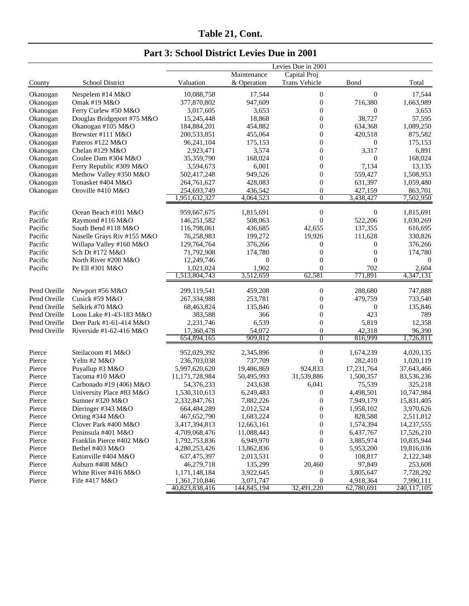|              |                            |                |             | Levies Due in 2001 |                  |             |
|--------------|----------------------------|----------------|-------------|--------------------|------------------|-------------|
|              |                            |                | Maintenance | Capital Proj       |                  |             |
| County       | School District            | Valuation      | & Operation | Trans Vehicle      | Bond             | Total       |
| Okanogan     | Nespelem #14 M&O           | 10,088,758     | 17,544      | $\boldsymbol{0}$   | $\overline{0}$   | 17,544      |
| Okanogan     | Omak #19 M&O               | 377,870,802    | 947,609     | $\boldsymbol{0}$   | 716,380          | 1,663,989   |
| Okanogan     | Ferry Curlew #50 M&O       | 3,017,605      | 3,653       | $\boldsymbol{0}$   | $\boldsymbol{0}$ | 3,653       |
| Okanogan     | Douglas Bridgeport #75 M&O | 15,245,448     | 18,868      | $\boldsymbol{0}$   | 38,727           | 57,595      |
| Okanogan     | Okanogan #105 M&O          | 184,884,201    | 454,882     | $\boldsymbol{0}$   | 634,368          | 1,089,250   |
| Okanogan     | Brewster #111 M&O          | 200,533,851    | 455,064     | $\boldsymbol{0}$   | 420,518          | 875,582     |
| Okanogan     | Pateros #122 M&O           | 96,241,104     | 175,153     | $\boldsymbol{0}$   | $\boldsymbol{0}$ | 175,153     |
| Okanogan     | Chelan #129 M&O            | 2,923,471      | 3,574       | $\boldsymbol{0}$   | 3,317            | 6,891       |
| Okanogan     | Coulee Dam #304 M&O        | 35,359,790     | 168,024     | $\boldsymbol{0}$   | $\boldsymbol{0}$ | 168,024     |
| Okanogan     | Ferry Republic #309 M&O    | 3,594,673      | 6,001       | $\boldsymbol{0}$   | 7,134            | 13,135      |
| Okanogan     | Methow Valley #350 M&O     | 502,417,248    | 949,526     | $\boldsymbol{0}$   | 559,427          | 1,508,953   |
| Okanogan     | Tonasket #404 M&O          | 264,761,627    | 428,083     | $\boldsymbol{0}$   | 631,397          | 1,059,480   |
| Okanogan     | Oroville #410 M&O          | 254,693,749    | 436,542     | $\boldsymbol{0}$   | 427,159          | 863,701     |
|              |                            | 1,951,632,327  | 4,064,523   | $\overline{0}$     | 3,438,427        | 7,502,950   |
| Pacific      | Ocean Beach #101 M&O       | 959,667,675    | 1,815,691   | $\boldsymbol{0}$   | $\boldsymbol{0}$ | 1,815,691   |
| Pacific      | Raymond #116 M&O           | 146,251,582    | 508,063     | $\boldsymbol{0}$   | 522,206          | 1,030,269   |
| Pacific      | South Bend #118 M&O        | 116,798,061    | 436,685     | 42,655             | 137,355          | 616,695     |
| Pacific      | Naselle Grays Riv #155 M&O | 76,258,983     | 199,272     | 19,926             | 111,628          | 330,826     |
| Pacific      | Willapa Valley #160 M&O    | 129,764,764    | 376,266     | $\boldsymbol{0}$   | $\boldsymbol{0}$ | 376,266     |
| Pacific      | Sch Dt #172 M&O            | 71,792,908     | 174,780     | $\boldsymbol{0}$   | $\boldsymbol{0}$ | 174,780     |
| Pacific      | North River #200 M&O       | 12,249,746     | $\theta$    | $\overline{0}$     | $\theta$         | $\theta$    |
| Pacific      | Pe Ell #301 M&O            | 1,021,024      | 1,902       | $\overline{0}$     | 702              | 2,604       |
|              |                            | 1,513,804,743  | 3,512,659   | 62,581             | 771,891          | 4,347,131   |
| Pend Oreille | Newport #56 M&O            | 299,119,541    | 459,208     | $\boldsymbol{0}$   | 288,680          | 747,888     |
| Pend Oreille | Cusick #59 M&O             | 267,334,988    | 253,781     | $\boldsymbol{0}$   | 479,759          | 733,540     |
| Pend Oreille | Selkirk #70 M&O            | 68,463,824     | 135,846     | $\boldsymbol{0}$   | $\theta$         | 135,846     |
| Pend Oreille | Loon Lake #1-43-183 M&O    | 383,588        | 366         | $\boldsymbol{0}$   | 423              | 789         |
| Pend Oreille | Deer Park #1-61-414 M&O    | 2,231,746      | 6,539       | $\boldsymbol{0}$   | 5,819            | 12,358      |
| Pend Oreille | Riverside #1-62-416 $M&O$  | 17,360,478     | 54,072      | $\boldsymbol{0}$   | 42,318           | 96,390      |
|              |                            | 654,894,165    | 909,812     | $\overline{0}$     | 816,999          | 1,726,811   |
| Pierce       | Steilacoom #1 M&O          | 952,029,392    | 2,345,896   | $\boldsymbol{0}$   | 1,674,239        | 4,020,135   |
| Pierce       | Yelm #2 M&O                | 236,703,038    | 737,709     | $\boldsymbol{0}$   | 282,410          | 1,020,119   |
| Pierce       | Puyallup #3 M&O            | 5,997,620,620  | 19,486,869  | 924.833            | 17,231,764       | 37,643,466  |
| Pierce       | Tacoma #10 M&O             | 11,171,728,984 | 50,495,993  | 31,539,886         | 1,500,357        | 83,536,236  |
| Pierce       | Carbonado #19 (406) M&O    | 54,376,233     | 243,638     | 6,041              | 75,539           | 325,218     |
| Pierce       | University Place #83 M&O   | 1,530,310,613  | 6,249,483   | $\boldsymbol{0}$   | 4,498,501        | 10,747,984  |
| Pierce       | Sumner #320 M&O            | 2,332,847,761  | 7,882,226   | $\overline{0}$     | 7,949,179        | 15,831,405  |
| Pierce       | Dieringer #343 M&O         | 664,484,289    | 2,012,524   | $\boldsymbol{0}$   | 1,958,102        | 3,970,626   |
| Pierce       | Orting #344 M&O            | 467, 652, 790  | 1,683,224   | $\boldsymbol{0}$   | 828,588          | 2,511,812   |
| Pierce       | Clover Park #400 M&O       | 3,417,394,813  | 12,663,161  | $\boldsymbol{0}$   | 1,574,394        | 14,237,555  |
| Pierce       | Peninsula #401 M&O         | 4,709,068,476  | 11,088,443  | $\boldsymbol{0}$   | 6,437,767        | 17,526,210  |
| Pierce       | Franklin Pierce #402 M&O   | 1,792,753,836  | 6,949,970   | $\boldsymbol{0}$   | 3,885,974        | 10,835,944  |
| Pierce       | Bethel #403 M&O            | 4,280,253,426  | 13,862,836  | $\boldsymbol{0}$   | 5,953,200        | 19,816,036  |
| Pierce       | Eatonville #404 M&O        | 637,475,397    | 2,013,531   | $\boldsymbol{0}$   | 108,817          | 2,122,348   |
| Pierce       | Auburn #408 M&O            | 46,279,718     | 135,299     | 20,460             | 97,849           | 253,608     |
| Pierce       | White River #416 M&O       | 1,171,148,184  | 3,922,645   | $\boldsymbol{0}$   | 3,805,647        | 7,728,292   |
| Pierce       | Fife #417 M&O              | 1,361,710,846  | 3,071,747   | $\boldsymbol{0}$   | 4,918,364        | 7,990,111   |
|              |                            | 40,823,838,416 | 144,845,194 | 32,491,220         | 62,780,691       | 240,117,105 |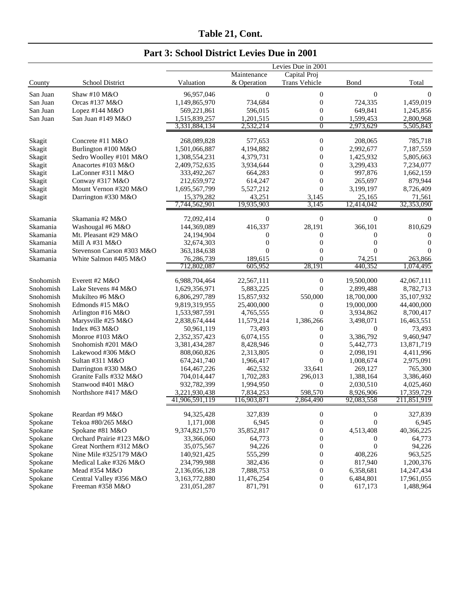|  |  |  |  | Part 3: School District Levies Due in 2001 |  |  |  |  |
|--|--|--|--|--------------------------------------------|--|--|--|--|
|--|--|--|--|--------------------------------------------|--|--|--|--|

|           |                           |                |                  | Levies Due in 2001 |                  |             |
|-----------|---------------------------|----------------|------------------|--------------------|------------------|-------------|
|           |                           |                | Maintenance      | Capital Proj       |                  |             |
| County    | School District           | Valuation      | & Operation      | Trans Vehicle      | Bond             | Total       |
| San Juan  | Shaw #10 $M&O$            | 96,957,046     | $\boldsymbol{0}$ | $\boldsymbol{0}$   | $\theta$         | $\theta$    |
| San Juan  | Orcas #137 M&O            | 1,149,865,970  | 734,684          | $\boldsymbol{0}$   | 724,335          | 1,459,019   |
| San Juan  | Lopez #144 M&O            | 569,221,861    | 596,015          | $\boldsymbol{0}$   | 649,841          | 1,245,856   |
| San Juan  | San Juan #149 M&O         | 1,515,839,257  | 1,201,515        | $\boldsymbol{0}$   | 1,599,453        | 2,800,968   |
|           |                           | 3,331,884,134  | 2,532,214        | $\overline{0}$     | 2,973,629        | 5,505,843   |
| Skagit    | Concrete #11 M&O          | 268,089,828    | 577,653          | $\boldsymbol{0}$   | 208,065          | 785,718     |
| Skagit    | Burlington #100 M&O       | 1,501,066,887  | 4,194,882        | $\boldsymbol{0}$   | 2,992,677        | 7,187,559   |
| Skagit    | Sedro Woolley #101 M&O    | 1,308,554,231  | 4,379,731        | $\boldsymbol{0}$   | 1,425,932        | 5,805,663   |
| Skagit    | Anacortes #103 M&O        | 2,409,752,635  | 3,934,644        | $\boldsymbol{0}$   | 3,299,433        | 7,234,077   |
| Skagit    | LaConner #311 M&O         | 333,492,267    | 664,283          | $\boldsymbol{0}$   | 997,876          | 1,662,159   |
| Skagit    | Conway #317 M&O           | 212,659,972    | 614,247          | $\overline{0}$     | 265,697          | 879,944     |
| Skagit    | Mount Vernon #320 M&O     | 1,695,567,799  | 5,527,212        | $\theta$           | 3,199,197        | 8,726,409   |
| Skagit    | Darrington #330 M&O       | 15,379,282     | 43,251           | 3,145              | 25,165           | 71,561      |
|           |                           | 7,744,562,901  | 19,935,903       | 3,145              | 12,414,042       | 32,353,090  |
| Skamania  | Skamania #2 M&O           | 72,092,414     | $\boldsymbol{0}$ | $\boldsymbol{0}$   | $\boldsymbol{0}$ | 0           |
| Skamania  | Washougal #6 M&O          | 144,369,089    | 416,337          | 28,191             | 366,101          | 810,629     |
| Skamania  | Mt. Pleasant #29 M&O      | 24,194,904     | $\mathbf{0}$     | $\boldsymbol{0}$   | $\boldsymbol{0}$ | $\Omega$    |
| Skamania  | Mill A #31 M&O            | 32,674,303     | $\Omega$         | $\overline{0}$     | $\overline{0}$   | $\Omega$    |
| Skamania  | Stevenson Carson #303 M&O | 363,184,638    | $\theta$         | $\Omega$           | $\theta$         | 0           |
| Skamania  | White Salmon #405 M&O     | 76,286,739     | 189,615          | $\overline{0}$     | 74,251           | 263,866     |
|           |                           | 712,802,087    | 605,952          | 28,191             | 440,352          | 1,074,495   |
| Snohomish | Everett #2 M&O            | 6,988,704,464  | 22,567,111       | $\boldsymbol{0}$   | 19,500,000       | 42,067,111  |
| Snohomish | Lake Stevens #4 M&O       | 1,629,356,971  | 5,883,225        | $\theta$           | 2,899,488        | 8,782,713   |
| Snohomish | Mukilteo #6 M&O           | 6,806,297,789  | 15,857,932       | 550,000            | 18,700,000       | 35,107,932  |
| Snohomish | Edmonds #15 M&O           | 9,819,319,955  | 25,400,000       | $\mathbf{0}$       | 19,000,000       | 44,400,000  |
| Snohomish | Arlington #16 M&O         | 1,533,987,591  | 4,765,555        | $\overline{0}$     | 3,934,862        | 8,700,417   |
| Snohomish | Marysville #25 M&O        | 2,838,674,444  | 11,579,214       | 1,386,266          | 3,498,071        | 16,463,551  |
| Snohomish | Index #63 M&O             | 50,961,119     | 73,493           | $\theta$           | $\overline{0}$   | 73,493      |
| Snohomish | Monroe #103 M&O           | 2,352,357,423  | 6,074,155        | $\boldsymbol{0}$   | 3,386,792        | 9,460,947   |
| Snohomish | Snohomish #201 M&O        | 3,381,434,287  | 8,428,946        | $\boldsymbol{0}$   | 5,442,773        | 13,871,719  |
| Snohomish | Lakewood #306 M&O         | 808,060,826    | 2,313,805        | $\boldsymbol{0}$   | 2,098,191        | 4,411,996   |
| Snohomish | Sultan #311 M&O           | 674,241,740    | 1,966,417        | $\overline{0}$     | 1,008,674        | 2,975,091   |
| Snohomish | Darrington #330 M&O       | 164, 467, 226  | 462,532          | 33,641             | 269,127          | 765,300     |
| Snohomish | Granite Falls #332 M&O    | 704,014,447    | 1,702,283        | 296,013            | 1,388,164        | 3,386,460   |
| Snohomish | Stanwood #401 M&O         | 932,782,399    | 1,994,950        | $\theta$           | 2,030,510        | 4,025,460   |
| Snohomish | Northshore #417 M&O       | 3,221,930,438  | 7,834,253        | 598,570            | 8,926,906        | 17,359,729  |
|           |                           | 41,906,591,119 | 116,903,871      | 2,864,490          | 92,083,558       | 211,851,919 |
| Spokane   | Reardan #9 M&O            | 94,325,428     | 327,839          | $\boldsymbol{0}$   | $\boldsymbol{0}$ | 327,839     |
| Spokane   | Tekoa #80/265 M&O         | 1,171,008      | 6,945            | $\boldsymbol{0}$   | $\overline{0}$   | 6,945       |
| Spokane   | Spokane #81 M&O           | 9,374,821,570  | 35,852,817       | $\boldsymbol{0}$   | 4,513,408        | 40,366,225  |
| Spokane   | Orchard Prairie #123 M&O  | 33,366,060     | 64,773           | $\boldsymbol{0}$   | 0                | 64,773      |
| Spokane   | Great Northern #312 M&O   | 35,075,567     | 94,226           | $\boldsymbol{0}$   | $\mathbf{0}$     | 94,226      |
| Spokane   | Nine Mile #325/179 M&O    | 140,921,425    | 555,299          | $\boldsymbol{0}$   | 408,226          | 963,525     |
| Spokane   | Medical Lake #326 M&O     | 234,799,988    | 382,436          | $\boldsymbol{0}$   | 817,940          | 1,200,376   |
| Spokane   | Mead #354 M&O             | 2,136,056,128  | 7,888,753        | $\boldsymbol{0}$   | 6,358,681        | 14,247,434  |
| Spokane   | Central Valley #356 M&O   | 3,163,772,880  | 11,476,254       | $\boldsymbol{0}$   | 6,484,801        | 17,961,055  |
| Spokane   | Freeman #358 M&O          | 231,051,287    | 871,791          | $\boldsymbol{0}$   | 617,173          | 1,488,964   |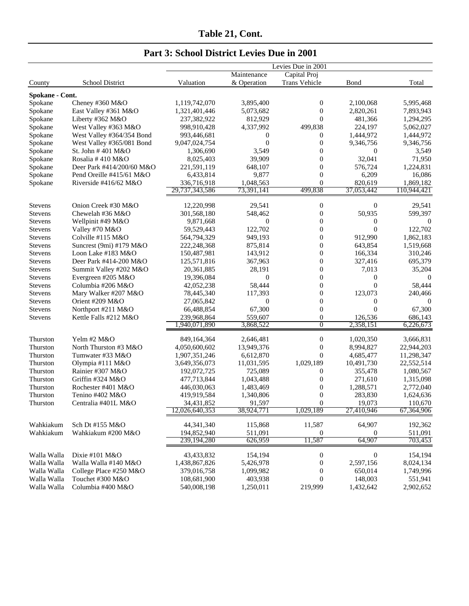|                                  |                                                        |                              |                            | Levies Due in 2001                   |                        |                        |
|----------------------------------|--------------------------------------------------------|------------------------------|----------------------------|--------------------------------------|------------------------|------------------------|
| County                           | School District                                        | Valuation                    | Maintenance<br>& Operation | Capital Proj<br>Trans Vehicle        | Bond                   | Total                  |
|                                  |                                                        |                              |                            |                                      |                        |                        |
| Spokane - Cont.                  |                                                        |                              |                            |                                      |                        |                        |
| Spokane                          | Cheney #360 M&O                                        | 1,119,742,070                | 3,895,400                  | $\boldsymbol{0}$                     | 2,100,068              | 5,995,468              |
| Spokane                          | East Valley #361 M&O                                   | 1,321,401,446                | 5,073,682                  | $\boldsymbol{0}$<br>$\overline{0}$   | 2,820,261              | 7,893,943              |
| Spokane                          | Liberty #362 M&O                                       | 237,382,922                  | 812,929                    |                                      | 481,366                | 1,294,295              |
| Spokane                          | West Valley #363 M&O                                   | 998,910,428<br>993,446,681   | 4,337,992<br>$\theta$      | 499,838                              | 224,197                | 5,062,027              |
| Spokane                          | West Valley #364/354 Bond<br>West Valley #365/081 Bond |                              | $\mathbf{0}$               | 0<br>$\boldsymbol{0}$                | 1,444,972<br>9,346,756 | 1,444,972<br>9,346,756 |
| Spokane<br>Spokane               | St. John #401 M&O                                      | 9,047,024,754<br>1,306,690   | 3.549                      | $\boldsymbol{0}$                     | $\boldsymbol{0}$       | 3,549                  |
| Spokane                          | Rosalia #410 M&O                                       | 8,025,403                    | 39,909                     | $\overline{0}$                       | 32,041                 | 71,950                 |
| Spokane                          | Deer Park #414/200/60 M&O                              | 221,591,119                  | 648,107                    | $\mathbf{0}$                         | 576,724                | 1,224,831              |
| Spokane                          | Pend Oreille #415/61 M&O                               | 6,433,814                    | 9,877                      | $\boldsymbol{0}$                     | 6,209                  | 16,086                 |
| Spokane                          | Riverside #416/62 M&O                                  | 336,716,918                  | 1,048,563                  | $\boldsymbol{0}$                     | 820,619                | 1,869,182              |
|                                  |                                                        | 29,737,343,586               | 73,391,141                 | 499,838                              | 37,053,442             | 110,944,421            |
|                                  | Onion Creek #30 M&O                                    |                              |                            |                                      | $\boldsymbol{0}$       |                        |
| <b>Stevens</b><br>Stevens        | Chewelah #36 M&O                                       | 12,220,998                   | 29,541                     | $\boldsymbol{0}$<br>$\boldsymbol{0}$ | 50,935                 | 29,541                 |
|                                  |                                                        | 301,568,180                  | 548,462<br>$\theta$        | $\boldsymbol{0}$                     | $\theta$               | 599,397                |
| <b>Stevens</b>                   | Wellpinit #49 M&O                                      | 9,871,668<br>59,529,443      | 122,702                    | $\boldsymbol{0}$                     | $\theta$               | 0<br>122,702           |
| <b>Stevens</b><br><b>Stevens</b> | Valley #70 M&O                                         |                              |                            | $\boldsymbol{0}$                     | 912,990                | 1,862,183              |
| <b>Stevens</b>                   | Colville #115 M&O<br>Suncrest $(9mi)$ #179 M&O         | 564,794,329<br>222, 248, 368 | 949,193<br>875,814         | $\boldsymbol{0}$                     | 643,854                | 1,519,668              |
| <b>Stevens</b>                   | Loon Lake #183 M&O                                     |                              | 143,912                    | $\boldsymbol{0}$                     | 166,334                | 310,246                |
| <b>Stevens</b>                   | Deer Park #414-200 M&O                                 | 150,487,981                  | 367,963                    | $\boldsymbol{0}$                     | 327,416                | 695,379                |
| Stevens                          | Summit Valley #202 M&O                                 | 125,571,816<br>20, 361, 885  | 28,191                     | $\boldsymbol{0}$                     | 7,013                  | 35,204                 |
| <b>Stevens</b>                   | Evergreen #205 $M&O$                                   | 19,396,084                   | $\theta$                   | $\boldsymbol{0}$                     | $\boldsymbol{0}$       | 0                      |
| <b>Stevens</b>                   | Columbia #206 M&O                                      |                              | 58,444                     | $\boldsymbol{0}$                     | $\theta$               | 58,444                 |
| <b>Stevens</b>                   | Mary Walker #207 M&O                                   | 42,052,238<br>78,445,340     | 117,393                    | $\boldsymbol{0}$                     | 123,073                | 240,466                |
| Stevens                          | Orient #209 M&O                                        | 27,065,842                   | $\mathbf{0}$               | $\mathbf{0}$                         | $\overline{0}$         | $\theta$               |
| Stevens                          | Northport #211 M&O                                     | 66,488,854                   | 67,300                     | $\boldsymbol{0}$                     | $\overline{0}$         | 67,300                 |
| Stevens                          | Kettle Falls #212 M&O                                  | 239,968,864                  | 559,607                    | $\boldsymbol{0}$                     | 126,536                | 686,143                |
|                                  |                                                        | 1,940,071,890                | 3,868,522                  | $\overline{0}$                       | 2,358,151              | 6,226,673              |
| Thurston                         | Yelm #2 M&O                                            | 849,164,364                  | 2,646,481                  | $\boldsymbol{0}$                     | 1,020,350              | 3,666,831              |
| Thurston                         | North Thurston #3 M&O                                  | 4,050,600,602                | 13,949,376                 | $\boldsymbol{0}$                     | 8,994,827              | 22,944,203             |
| Thurston                         | Tumwater #33 M&O                                       | 1,907,351,246                | 6,612,870                  | $\boldsymbol{0}$                     | 4,685,477              | 11,298,347             |
| Thurston                         | Olympia #111 M&O                                       | 3,649,356,073                | 11,031,595                 | 1,029,189                            | 10,491,730             | 22,552,514             |
| Thurston                         | Rainier #307 M&O                                       | 192,072,725                  | 725,089                    | 0                                    | 355,478                | 1,080,567              |
| Thurston                         | Griffin #324 M&O                                       | 477,713,844                  | 1,043,488                  | $\boldsymbol{0}$                     | 271,610                | 1,315,098              |
| Thurston                         | Rochester #401 M&O                                     | 446,030,063                  | 1,483,469                  | $\overline{0}$                       | 1,288,571              | 2,772,040              |
| Thurston                         | Tenino #402 M&O                                        | 419,919,584                  | 1,340,806                  | $\boldsymbol{0}$                     | 283,830                | 1,624,636              |
| Thurston                         | Centralia #401L M&O                                    | 34,431,852                   | 91,597                     | $\mathbf{0}$                         | 19,073                 | 110,670                |
|                                  |                                                        | 12,026,640,353               | 38,924,771                 | 1,029,189                            | 27,410,946             | 67,364,906             |
| Wahkiakum                        | Sch Dt #155 M&O                                        | 44, 341, 340                 | 115,868                    | 11,587                               | 64,907                 | 192,362                |
| Wahkiakum                        | Wahkiakum #200 M&O                                     | 194,852,940                  | 511,091                    | 0                                    | $\boldsymbol{0}$       | 511,091                |
|                                  |                                                        | 239,194,280                  | 626,959                    | 11,587                               | 64,907                 | 703,453                |
| Walla Walla                      | Dixie #101 M&O                                         | 43, 433, 832                 | 154,194                    | $\boldsymbol{0}$                     | $\boldsymbol{0}$       | 154,194                |
| Walla Walla                      | Walla Walla #140 M&O                                   | 1,438,867,826                | 5,426,978                  | $\boldsymbol{0}$                     | 2,597,156              | 8,024,134              |
| Walla Walla                      | College Place #250 M&O                                 | 379,016,758                  | 1,099,982                  | $\boldsymbol{0}$                     | 650,014                | 1,749,996              |
| Walla Walla                      | Touchet #300 M&O                                       | 108,681,900                  | 403,938                    | $\mathbf{0}$                         | 148,003                | 551,941                |
| Walla Walla                      | Columbia #400 M&O                                      | 540,008,198                  | 1,250,011                  | 219,999                              | 1,432,642              | 2,902,652              |
|                                  |                                                        |                              |                            |                                      |                        |                        |